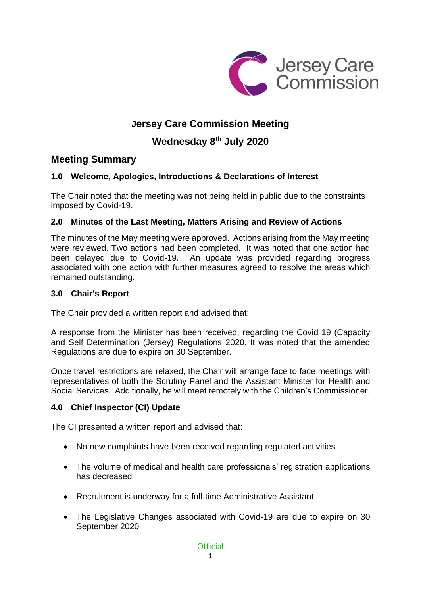

## **Jersey Care Commission Meeting**

# **Wednesday 8 th July 2020**

## **Meeting Summary**

## **1.0 Welcome, Apologies, Introductions & Declarations of Interest**

The Chair noted that the meeting was not being held in public due to the constraints imposed by Covid-19.

## **2.0 Minutes of the Last Meeting, Matters Arising and Review of Actions**

The minutes of the May meeting were approved. Actions arising from the May meeting were reviewed. Two actions had been completed. It was noted that one action had been delayed due to Covid-19. An update was provided regarding progress associated with one action with further measures agreed to resolve the areas which remained outstanding.

#### **3.0 Chair's Report**

The Chair provided a written report and advised that:

A response from the Minister has been received, regarding the Covid 19 (Capacity and Self Determination (Jersey) Regulations 2020. It was noted that the amended Regulations are due to expire on 30 September.

Once travel restrictions are relaxed, the Chair will arrange face to face meetings with representatives of both the Scrutiny Panel and the Assistant Minister for Health and Social Services. Additionally, he will meet remotely with the Children's Commissioner.

## **4.0 Chief Inspector (CI) Update**

The CI presented a written report and advised that:

- No new complaints have been received regarding regulated activities
- The volume of medical and health care professionals' registration applications has decreased
- Recruitment is underway for a full-time Administrative Assistant
- The Legislative Changes associated with Covid-19 are due to expire on 30 September 2020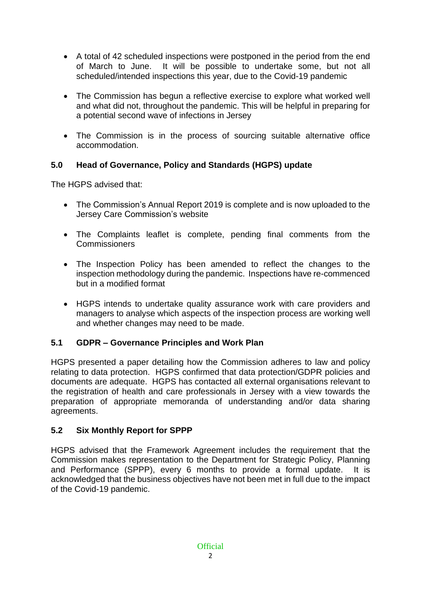- A total of 42 scheduled inspections were postponed in the period from the end of March to June. It will be possible to undertake some, but not all scheduled/intended inspections this year, due to the Covid-19 pandemic
- The Commission has begun a reflective exercise to explore what worked well and what did not, throughout the pandemic. This will be helpful in preparing for a potential second wave of infections in Jersey
- The Commission is in the process of sourcing suitable alternative office accommodation.

## **5.0 Head of Governance, Policy and Standards (HGPS) update**

The HGPS advised that:

- The Commission's Annual Report 2019 is complete and is now uploaded to the Jersey Care Commission's website
- The Complaints leaflet is complete, pending final comments from the **Commissioners**
- The Inspection Policy has been amended to reflect the changes to the inspection methodology during the pandemic. Inspections have re-commenced but in a modified format
- HGPS intends to undertake quality assurance work with care providers and managers to analyse which aspects of the inspection process are working well and whether changes may need to be made.

## **5.1 GDPR – Governance Principles and Work Plan**

HGPS presented a paper detailing how the Commission adheres to law and policy relating to data protection. HGPS confirmed that data protection/GDPR policies and documents are adequate. HGPS has contacted all external organisations relevant to the registration of health and care professionals in Jersey with a view towards the preparation of appropriate memoranda of understanding and/or data sharing agreements.

## **5.2 Six Monthly Report for SPPP**

HGPS advised that the Framework Agreement includes the requirement that the Commission makes representation to the Department for Strategic Policy, Planning and Performance (SPPP), every 6 months to provide a formal update. It is acknowledged that the business objectives have not been met in full due to the impact of the Covid-19 pandemic.